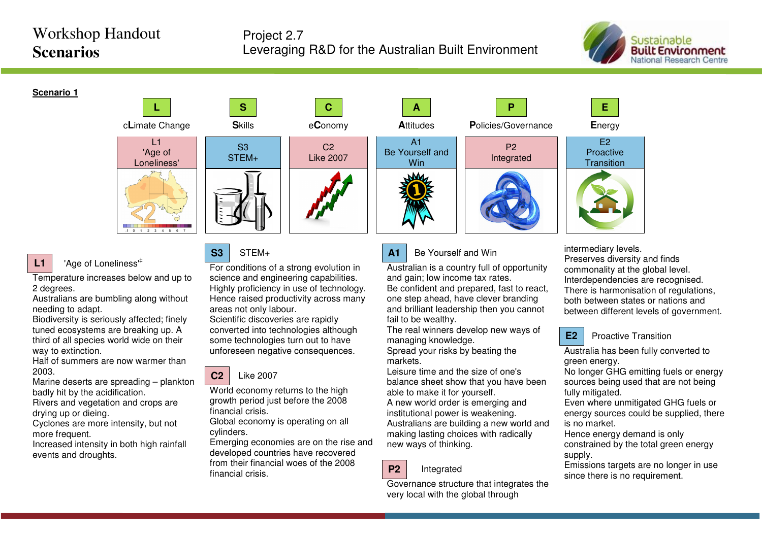# Workshop Handout **Scenarios**

## Project 2.7 Leveraging R&D for the Australian Built Environment



## **Scenario 1**





## **L1**

Temperature increases below and up to 2 degrees.

 Australians are bumbling along without needing to adapt.

 Biodiversity is seriously affected; finely tuned ecosystems are breaking up. A third of all species world wide on their way to extinction.

 Half of summers are now warmer than 2003.

 Marine deserts are spreading – plankton badly hit by the acidification.

 Rivers and vegetation and crops are drying up or dieing.

 Cyclones are more intensity, but not more frequent.

 Increased intensity in both high rainfall events and droughts.

## **S3**STEM+

S3 STEM+

For conditions of a strong evolution in science and engineering capabilities. Highly proficiency in use of technology. Hence raised productivity across many areas not only labour.

**C** 

C<sub>2</sub> Like 2007

 Scientific discoveries are rapidly converted into technologies although some technologies turn out to have unforeseen negative consequences.

## **C2**Like 2007

World economy returns to the high growth period just before the 2008 financial crisis.

 Global economy is operating on all cylinders.

 Emerging economies are on the rise and developed countries have recovered from their financial woes of the 2008 financial crisis.



### **A1**Be Yourself and Win

Australian is a country full of opportunity and gain; low income tax rates. Be confident and prepared, fast to react, one step ahead, have clever branding and brilliant leadership then you cannot

fail to be wealthy. The real winners develop new ways of managing knowledge.

 Spread your risks by beating the markets.

 Leisure time and the size of one's balance sheet show that you have been able to make it for yourself.

 A new world order is emerging and institutional power is weakening. Australians are building a new world and making lasting choices with radically new ways of thinking.



Governance structure that integrates the very local with the global through



intermediary levels. Preserves diversity and finds commonality at the global level. Interdependencies are recognised. There is harmonisation of regulations, both between states or nations and between different levels of government.



Proactive Transition

Australia has been fully converted to green energy.

 No longer GHG emitting fuels or energy sources being used that are not being fully mitigated.

 Even where unmitigated GHG fuels or energy sources could be supplied, there is no market.

 Hence energy demand is only constrained by the total green energy supply.

 Emissions targets are no longer in use since there is no requirement.



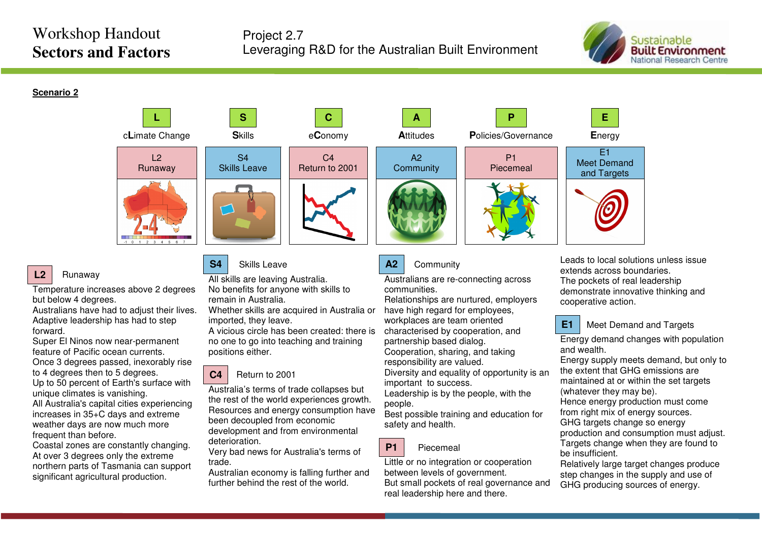# Workshop Handout **Sectors and Factors**



**Scenario 2**



#### **L2**Runaway

Temperature increases above 2 degrees but below 4 degrees.

 Australians have had to adjust their lives. Adaptive leadership has had to step forward.

 Super El Ninos now near-permanent feature of Pacific ocean currents. Once 3 degrees passed, inexorably rise to 4 degrees then to 5 degrees. Up to 50 percent of Earth's surface with unique climates is vanishing. All Australia's capital cities experiencing increases in 35+C days and extreme weather days are now much more

frequent than before. Coastal zones are constantly changing.

At over 3 degrees only the extreme northern parts of Tasmania can support significant agricultural production.

## **S4**Skills Leave

All skills are leaving Australia. No benefits for anyone with skills to remain in Australia.

 Whether skills are acquired in Australia or imported, they leave.

 A vicious circle has been created: there is no one to go into teaching and training positions either.

## **C4**Return to 2001

Australia's terms of trade collapses but the rest of the world experiences growth. Resources and energy consumption have been decoupled from economic development and from environmental deterioration.

 Very bad news for Australia's terms of trade.

 Australian economy is falling further and further behind the rest of the world.



Australians are re-connecting across communities.

 Relationships are nurtured, employers have high regard for employees, workplaces are team oriented characterised by cooperation, and partnership based dialog. Cooperation, sharing, and taking responsibility are valued. Diversity and equality of opportunity is an

important to success. Leadership is by the people, with the

people.

 Best possible training and education for safety and health.



Little or no integration or cooperation between levels of government. But small pockets of real governance and real leadership here and there.

Leads to local solutions unless issue extends across boundaries. The pockets of real leadership demonstrate innovative thinking and cooperative action.



Meet Demand and Targets

Energy demand changes with population and wealth.

 Energy supply meets demand, but only to the extent that GHG emissions are maintained at or within the set targets (whatever they may be). Hence energy production must come from right mix of energy sources. GHG targets change so energy production and consumption must adjust. Targets change when they are found to be insufficient.

 Relatively large target changes produce step changes in the supply and use of GHG producing sources of energy.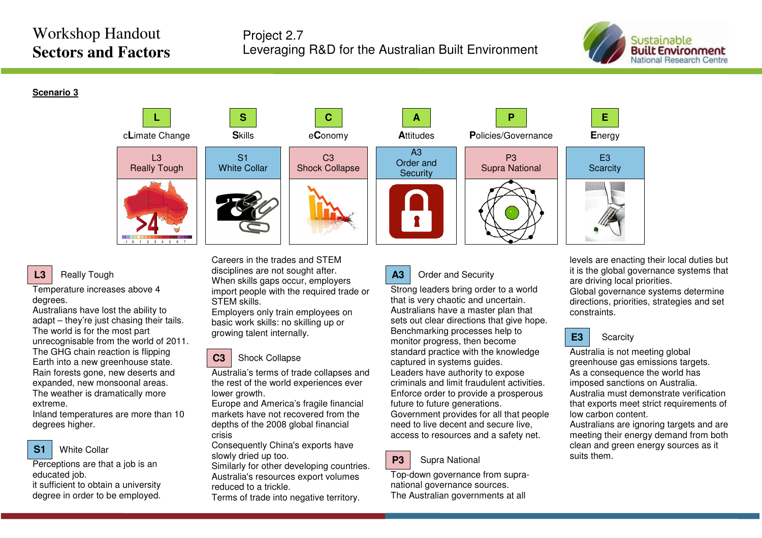# Workshop Handout **Sectors and Factors**



**Scenario 3**



## Really Tough

**L3**

Temperature increases above 4 degrees.

 Australians have lost the ability to adapt – they're just chasing their tails. The world is for the most part unrecognisable from the world of 2011. The GHG chain reaction is flipping Earth into a new greenhouse state. Rain forests gone, new deserts and expanded, new monsoonal areas. The weather is dramatically more extreme.

 Inland temperatures are more than 10 degrees higher.

### **S1**White Collar

Perceptions are that a job is an educated job.

 it sufficient to obtain a university degree in order to be employed. Careers in the trades and STEM disciplines are not sought after. When skills gaps occur, employers import people with the required trade or STEM skills.

 Employers only train employees on basic work skills: no skilling up or growing talent internally.



Australia's terms of trade collapses and the rest of the world experiences ever lower growth.

 Europe and America's fragile financial markets have not recovered from the depths of the 2008 global financial crisis

 Consequently China's exports have slowly dried up too.

 Similarly for other developing countries. Australia's resources export volumes reduced to a trickle.

Terms of trade into negative territory.

### **A3**Order and Security

Strong leaders bring order to a world that is very chaotic and uncertain. Australians have a master plan that sets out clear directions that give hope. Benchmarking processes help to monitor progress, then become standard practice with the knowledge captured in systems guides. Leaders have authority to expose criminals and limit fraudulent activities. Enforce order to provide a prosperous future to future generations. Government provides for all that people need to live decent and secure live, access to resources and a safety net.

### **P3**Supra National

Top-down governance from supranational governance sources. The Australian governments at all

levels are enacting their local duties but it is the global governance systems that are driving local priorities.

 Global governance systems determine directions, priorities, strategies and set constraints.



## **Scarcity**

Australia is not meeting global greenhouse gas emissions targets. As a consequence the world has imposed sanctions on Australia. Australia must demonstrate verification that exports meet strict requirements of low carbon content.

 Australians are ignoring targets and are meeting their energy demand from both clean and green energy sources as it suits them.